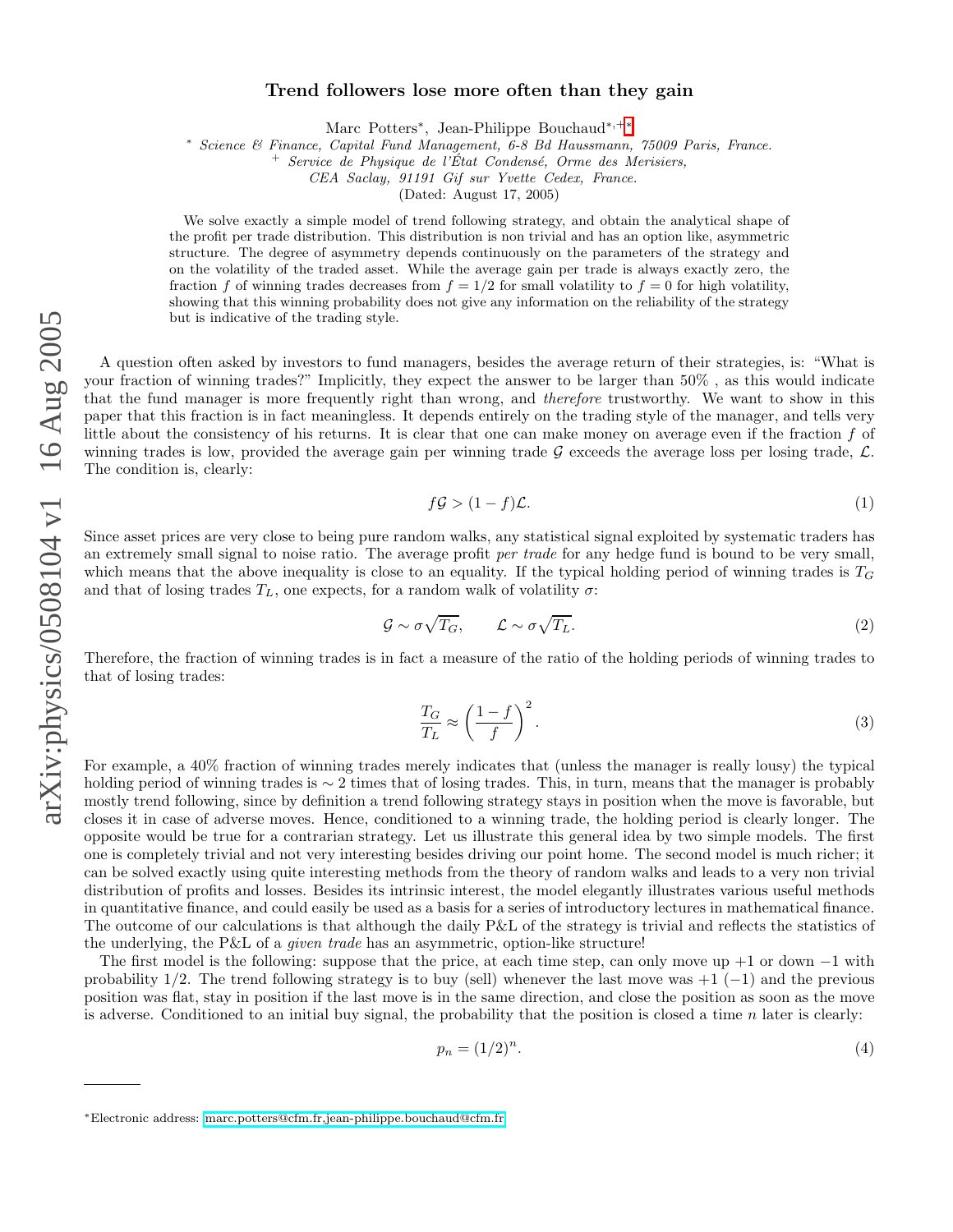## Trend followers lose more often than they gain

Marc Potters<sup>\*</sup>, Jean-Philippe Bouchaud<sup>\*\*+\*</sup>

<sup>∗</sup> Science & Finance, Capital Fund Management, 6-8 Bd Haussmann, 75009 Paris, France. <sup>+</sup> Service de Physique de l'Etat Condens´e, Orme des Merisiers, ´

CEA Saclay, 91191 Gif sur Yvette Cedex, France.

(Dated: August 17, 2005)

We solve exactly a simple model of trend following strategy, and obtain the analytical shape of the profit per trade distribution. This distribution is non trivial and has an option like, asymmetric structure. The degree of asymmetry depends continuously on the parameters of the strategy and on the volatility of the traded asset. While the average gain per trade is always exactly zero, the fraction f of winning trades decreases from  $f = 1/2$  for small volatility to  $f = 0$  for high volatility, showing that this winning probability does not give any information on the reliability of the strategy but is indicative of the trading style.

A question often asked by investors to fund managers, besides the average return of their strategies, is: "What is your fraction of winning trades?" Implicitly, they expect the answer to be larger than 50% , as this would indicate that the fund manager is more frequently right than wrong, and *therefore* trustworthy. We want to show in this paper that this fraction is in fact meaningless. It depends entirely on the trading style of the manager, and tells very little about the consistency of his returns. It is clear that one can make money on average even if the fraction  $f$  of winning trades is low, provided the average gain per winning trade  $G$  exceeds the average loss per losing trade,  $\mathcal{L}$ . The condition is, clearly:

$$
f\mathcal{G} > (1-f)\mathcal{L}.\tag{1}
$$

Since asset prices are very close to being pure random walks, any statistical signal exploited by systematic traders has an extremely small signal to noise ratio. The average profit per trade for any hedge fund is bound to be very small, which means that the above inequality is close to an equality. If the typical holding period of winning trades is  $T_G$ and that of losing trades  $T_L$ , one expects, for a random walk of volatility  $\sigma$ :

$$
\mathcal{G} \sim \sigma \sqrt{T_G}, \qquad \mathcal{L} \sim \sigma \sqrt{T_L}.\tag{2}
$$

Therefore, the fraction of winning trades is in fact a measure of the ratio of the holding periods of winning trades to that of losing trades:

$$
\frac{T_G}{T_L} \approx \left(\frac{1-f}{f}\right)^2.
$$
\n(3)

For example, a 40% fraction of winning trades merely indicates that (unless the manager is really lousy) the typical holding period of winning trades is  $\sim 2$  times that of losing trades. This, in turn, means that the manager is probably mostly trend following, since by definition a trend following strategy stays in position when the move is favorable, but closes it in case of adverse moves. Hence, conditioned to a winning trade, the holding period is clearly longer. The opposite would be true for a contrarian strategy. Let us illustrate this general idea by two simple models. The first one is completely trivial and not very interesting besides driving our point home. The second model is much richer; it can be solved exactly using quite interesting methods from the theory of random walks and leads to a very non trivial distribution of profits and losses. Besides its intrinsic interest, the model elegantly illustrates various useful methods in quantitative finance, and could easily be used as a basis for a series of introductory lectures in mathematical finance. The outcome of our calculations is that although the daily P&L of the strategy is trivial and reflects the statistics of the underlying, the P&L of a *given trade* has an asymmetric, option-like structure!

The first model is the following: suppose that the price, at each time step, can only move up +1 or down  $-1$  with probability  $1/2$ . The trend following strategy is to buy (sell) whenever the last move was  $+1$  (-1) and the previous position was flat, stay in position if the last move is in the same direction, and close the position as soon as the move is adverse. Conditioned to an initial buy signal, the probability that the position is closed a time n later is clearly:

$$
p_n = (1/2)^n. \tag{4}
$$

<span id="page-0-0"></span><sup>∗</sup>Electronic address: [marc.potters@cfm.fr,jean-philippe.bouchaud@cfm.fr](mailto:marc.potters@cfm.fr,jean-philippe.bouchaud@cfm.fr)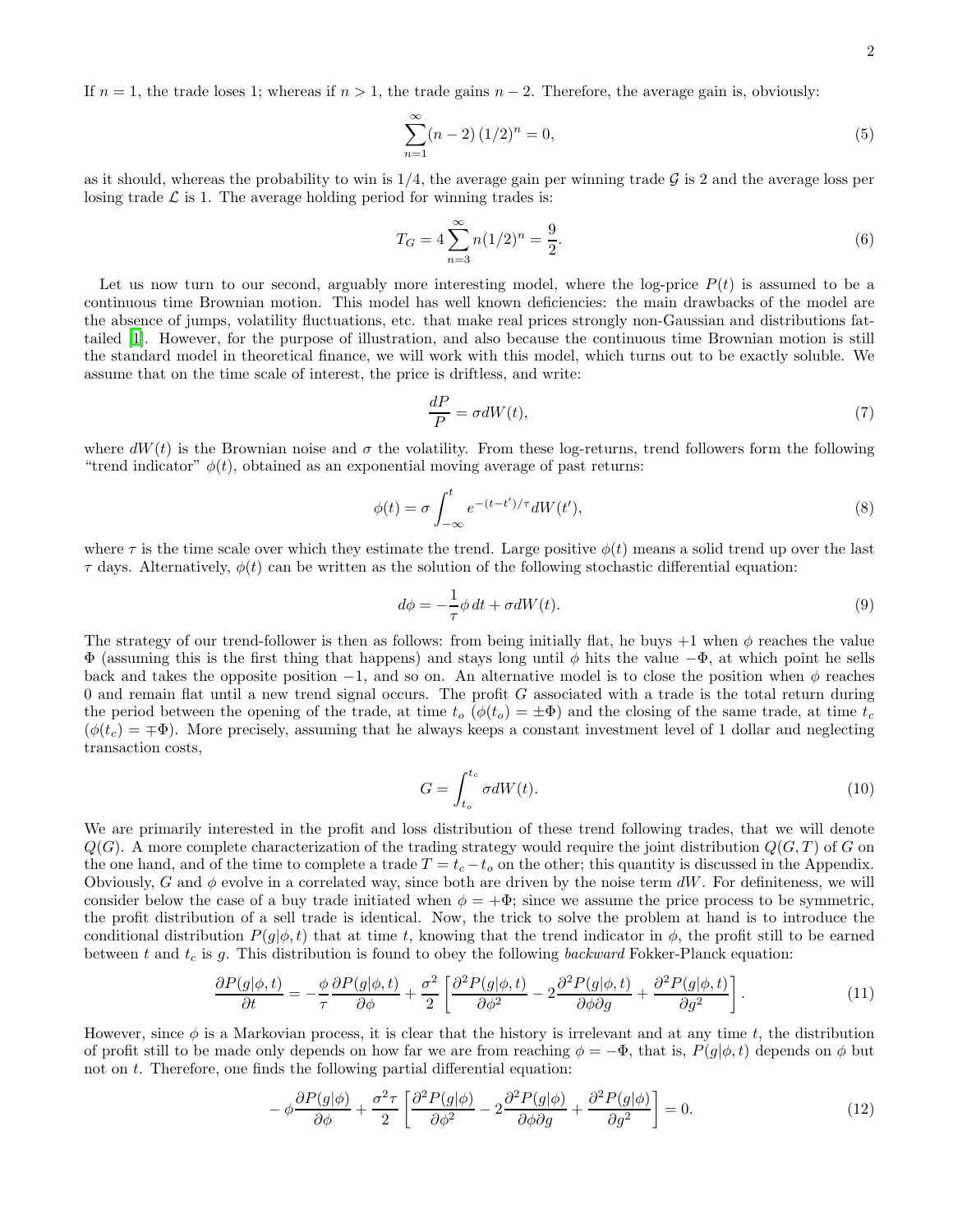If  $n = 1$ , the trade loses 1; whereas if  $n > 1$ , the trade gains  $n - 2$ . Therefore, the average gain is, obviously:

$$
\sum_{n=1}^{\infty} (n-2) (1/2)^n = 0,
$$
\n(5)

as it should, whereas the probability to win is  $1/4$ , the average gain per winning trade  $\mathcal G$  is 2 and the average loss per losing trade  $\mathcal L$  is 1. The average holding period for winning trades is:

$$
T_G = 4 \sum_{n=3}^{\infty} n(1/2)^n = \frac{9}{2}.
$$
 (6)

Let us now turn to our second, arguably more interesting model, where the log-price  $P(t)$  is assumed to be a continuous time Brownian motion. This model has well known deficiencies: the main drawbacks of the model are the absence of jumps, volatility fluctuations, etc. that make real prices strongly non-Gaussian and distributions fattailed [\[1](#page-6-0)]. However, for the purpose of illustration, and also because the continuous time Brownian motion is still the standard model in theoretical finance, we will work with this model, which turns out to be exactly soluble. We assume that on the time scale of interest, the price is driftless, and write:

$$
\frac{dP}{P} = \sigma dW(t),\tag{7}
$$

where  $dW(t)$  is the Brownian noise and  $\sigma$  the volatility. From these log-returns, trend followers form the following "trend indicator"  $\phi(t)$ , obtained as an exponential moving average of past returns:

<span id="page-1-1"></span>
$$
\phi(t) = \sigma \int_{-\infty}^{t} e^{-(t-t')/\tau} dW(t'),\tag{8}
$$

where  $\tau$  is the time scale over which they estimate the trend. Large positive  $\phi(t)$  means a solid trend up over the last  $\tau$  days. Alternatively,  $\phi(t)$  can be written as the solution of the following stochastic differential equation:

$$
d\phi = -\frac{1}{\tau}\phi \, dt + \sigma dW(t). \tag{9}
$$

The strategy of our trend-follower is then as follows: from being initially flat, he buys +1 when  $\phi$  reaches the value  $\Phi$  (assuming this is the first thing that happens) and stays long until  $\phi$  hits the value  $-\Phi$ , at which point he sells back and takes the opposite position  $-1$ , and so on. An alternative model is to close the position when  $\phi$  reaches  $0$  and remain flat until a new trend signal occurs. The profit  $G$  associated with a trade is the total return during the period between the opening of the trade, at time  $t_o$  ( $\phi(t_o) = \pm \Phi$ ) and the closing of the same trade, at time  $t_c$  $(\phi(t_c) = \pm \Phi)$ . More precisely, assuming that he always keeps a constant investment level of 1 dollar and neglecting transaction costs,

$$
G = \int_{t_o}^{t_c} \sigma dW(t). \tag{10}
$$

We are primarily interested in the profit and loss distribution of these trend following trades, that we will denote  $Q(G)$ . A more complete characterization of the trading strategy would require the joint distribution  $Q(G, T)$  of G on the one hand, and of the time to complete a trade  $T = t_c - t_o$  on the other; this quantity is discussed in the Appendix. Obviously, G and  $\phi$  evolve in a correlated way, since both are driven by the noise term dW. For definiteness, we will consider below the case of a buy trade initiated when  $\phi = +\Phi$ ; since we assume the price process to be symmetric, the profit distribution of a sell trade is identical. Now, the trick to solve the problem at hand is to introduce the conditional distribution  $P(q|\phi, t)$  that at time t, knowing that the trend indicator in  $\phi$ , the profit still to be earned between t and  $t_c$  is g. This distribution is found to obey the following backward Fokker-Planck equation:

$$
\frac{\partial P(g|\phi,t)}{\partial t} = -\frac{\phi}{\tau} \frac{\partial P(g|\phi,t)}{\partial \phi} + \frac{\sigma^2}{2} \left[ \frac{\partial^2 P(g|\phi,t)}{\partial \phi^2} - 2 \frac{\partial^2 P(g|\phi,t)}{\partial \phi \partial g} + \frac{\partial^2 P(g|\phi,t)}{\partial g^2} \right].
$$
\n(11)

<span id="page-1-0"></span>However, since  $\phi$  is a Markovian process, it is clear that the history is irrelevant and at any time t, the distribution of profit still to be made only depends on how far we are from reaching  $\phi = -\Phi$ , that is,  $P(g|\phi, t)$  depends on  $\phi$  but not on  $t$ . Therefore, one finds the following partial differential equation:

$$
-\phi \frac{\partial P(g|\phi)}{\partial \phi} + \frac{\sigma^2 \tau}{2} \left[ \frac{\partial^2 P(g|\phi)}{\partial \phi^2} - 2 \frac{\partial^2 P(g|\phi)}{\partial \phi \partial g} + \frac{\partial^2 P(g|\phi)}{\partial g^2} \right] = 0. \tag{12}
$$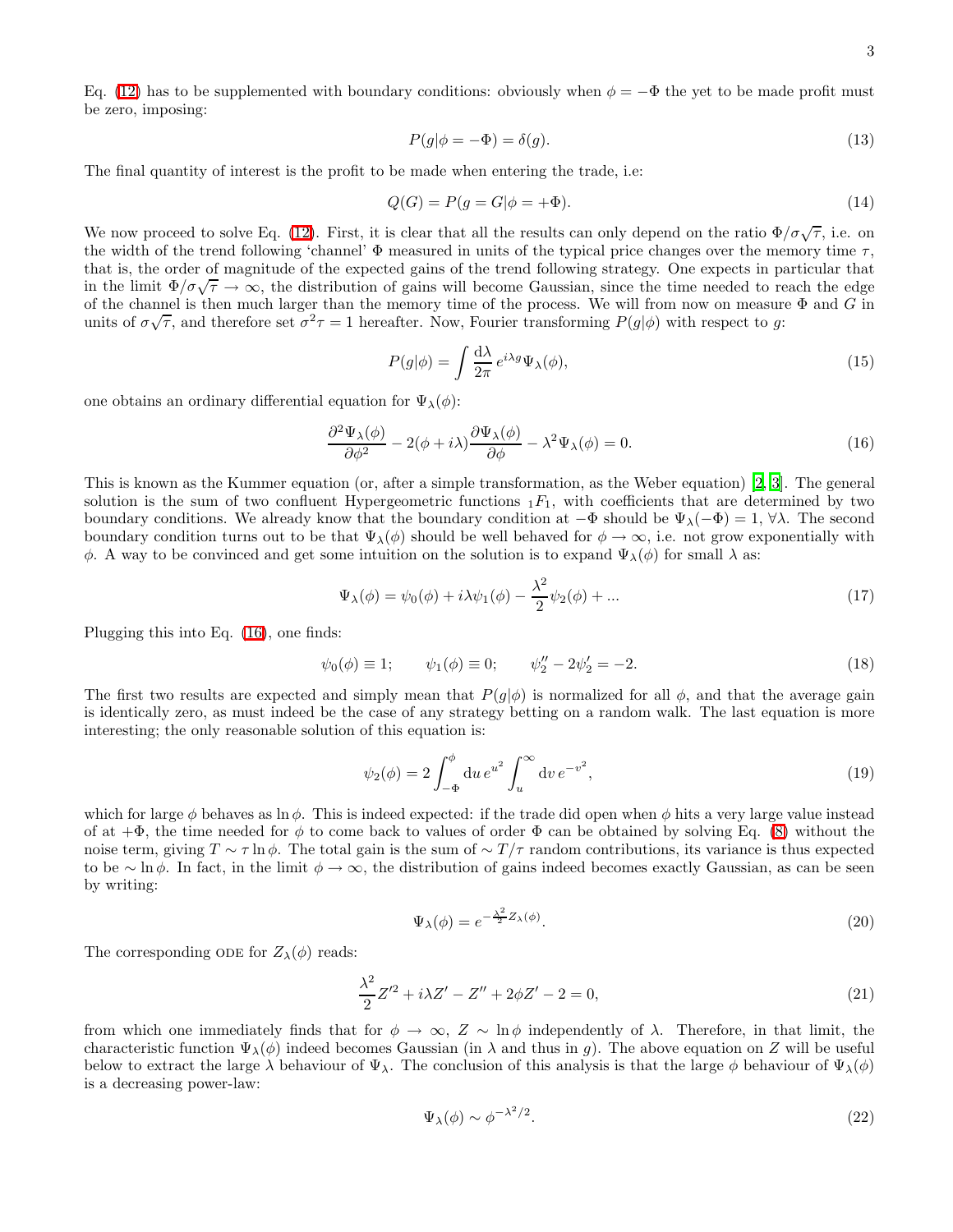Eq. [\(12\)](#page-1-0) has to be supplemented with boundary conditions: obviously when  $\phi = -\Phi$  the yet to be made profit must be zero, imposing:

$$
P(g|\phi = -\Phi) = \delta(g). \tag{13}
$$

The final quantity of interest is the profit to be made when entering the trade, i.e:

$$
Q(G) = P(g = G | \phi = +\Phi). \tag{14}
$$

We now proceed to solve Eq. [\(12\)](#page-1-0). First, it is clear that all the results can only depend on the ratio  $\Phi/\sigma\sqrt{\tau}$ , i.e. on the width of the trend following 'channel'  $\Phi$  measured in units of the typical price changes over the memory time  $\tau$ , that is, the order of magnitude of the expected gains of the trend following strategy. One expects in particular that in the limit  $\Phi/\sigma\sqrt{\tau} \to \infty$ , the distribution of gains will become Gaussian, since the time needed to reach the edge of the channel is then much larger than the memory time of the process. We will from now on measure  $\Phi$  and G in units of  $\sigma\sqrt{\tau}$ , and therefore set  $\sigma^2\tau = 1$  hereafter. Now, Fourier transforming  $P(g|\phi)$  with respect to g:

$$
P(g|\phi) = \int \frac{\mathrm{d}\lambda}{2\pi} e^{i\lambda g} \Psi_{\lambda}(\phi),\tag{15}
$$

one obtains an ordinary differential equation for  $\Psi_{\lambda}(\phi)$ :

<span id="page-2-0"></span>
$$
\frac{\partial^2 \Psi_\lambda(\phi)}{\partial \phi^2} - 2(\phi + i\lambda) \frac{\partial \Psi_\lambda(\phi)}{\partial \phi} - \lambda^2 \Psi_\lambda(\phi) = 0.
$$
\n(16)

This is known as the Kummer equation (or, after a simple transformation, as the Weber equation) [\[2](#page-6-1), [3](#page-6-2)]. The general solution is the sum of two confluent Hypergeometric functions  $_1F_1$ , with coefficients that are determined by two boundary conditions. We already know that the boundary condition at  $-\Phi$  should be  $\Psi_\lambda(-\Phi) = 1, \forall \lambda$ . The second boundary condition turns out to be that  $\Psi_{\lambda}(\phi)$  should be well behaved for  $\phi \to \infty$ , i.e. not grow exponentially with  $\phi$ . A way to be convinced and get some intuition on the solution is to expand  $\Psi_\lambda(\phi)$  for small λ as:

$$
\Psi_{\lambda}(\phi) = \psi_0(\phi) + i\lambda\psi_1(\phi) - \frac{\lambda^2}{2}\psi_2(\phi) + \dots \tag{17}
$$

Plugging this into Eq. [\(16\)](#page-2-0), one finds:

$$
\psi_0(\phi) \equiv 1; \qquad \psi_1(\phi) \equiv 0; \qquad \psi_2'' - 2\psi_2' = -2.
$$
\n(18)

The first two results are expected and simply mean that  $P(g|\phi)$  is normalized for all  $\phi$ , and that the average gain is identically zero, as must indeed be the case of any strategy betting on a random walk. The last equation is more interesting; the only reasonable solution of this equation is:

$$
\psi_2(\phi) = 2 \int_{-\Phi}^{\phi} du \, e^{u^2} \int_u^{\infty} dv \, e^{-v^2}, \tag{19}
$$

which for large  $\phi$  behaves as ln  $\phi$ . This is indeed expected: if the trade did open when  $\phi$  hits a very large value instead of at  $+\Phi$ , the time needed for  $\phi$  to come back to values of order  $\Phi$  can be obtained by solving Eq. [\(8\)](#page-1-1) without the noise term, giving  $T \sim \tau \ln \phi$ . The total gain is the sum of  $\sim T/\tau$  random contributions, its variance is thus expected to be ∼ ln  $\phi$ . In fact, in the limit  $\phi \to \infty$ , the distribution of gains indeed becomes exactly Gaussian, as can be seen by writing:

$$
\Psi_{\lambda}(\phi) = e^{-\frac{\lambda^2}{2}Z_{\lambda}(\phi)}.
$$
\n(20)

The corresponding ODE for  $Z_{\lambda}(\phi)$  reads:

<span id="page-2-1"></span>
$$
\frac{\lambda^2}{2}Z'^2 + i\lambda Z' - Z'' + 2\phi Z' - 2 = 0,\tag{21}
$$

from which one immediately finds that for  $\phi \to \infty$ ,  $Z \sim \ln \phi$  independently of  $\lambda$ . Therefore, in that limit, the characteristic function  $\Psi_{\lambda}(\phi)$  indeed becomes Gaussian (in  $\lambda$  and thus in g). The above equation on Z will be useful below to extract the large  $\lambda$  behaviour of  $\Psi_{\lambda}$ . The conclusion of this analysis is that the large  $\phi$  behaviour of  $\Psi_{\lambda}(\phi)$ is a decreasing power-law:

$$
\Psi_{\lambda}(\phi) \sim \phi^{-\lambda^2/2}.
$$
\n(22)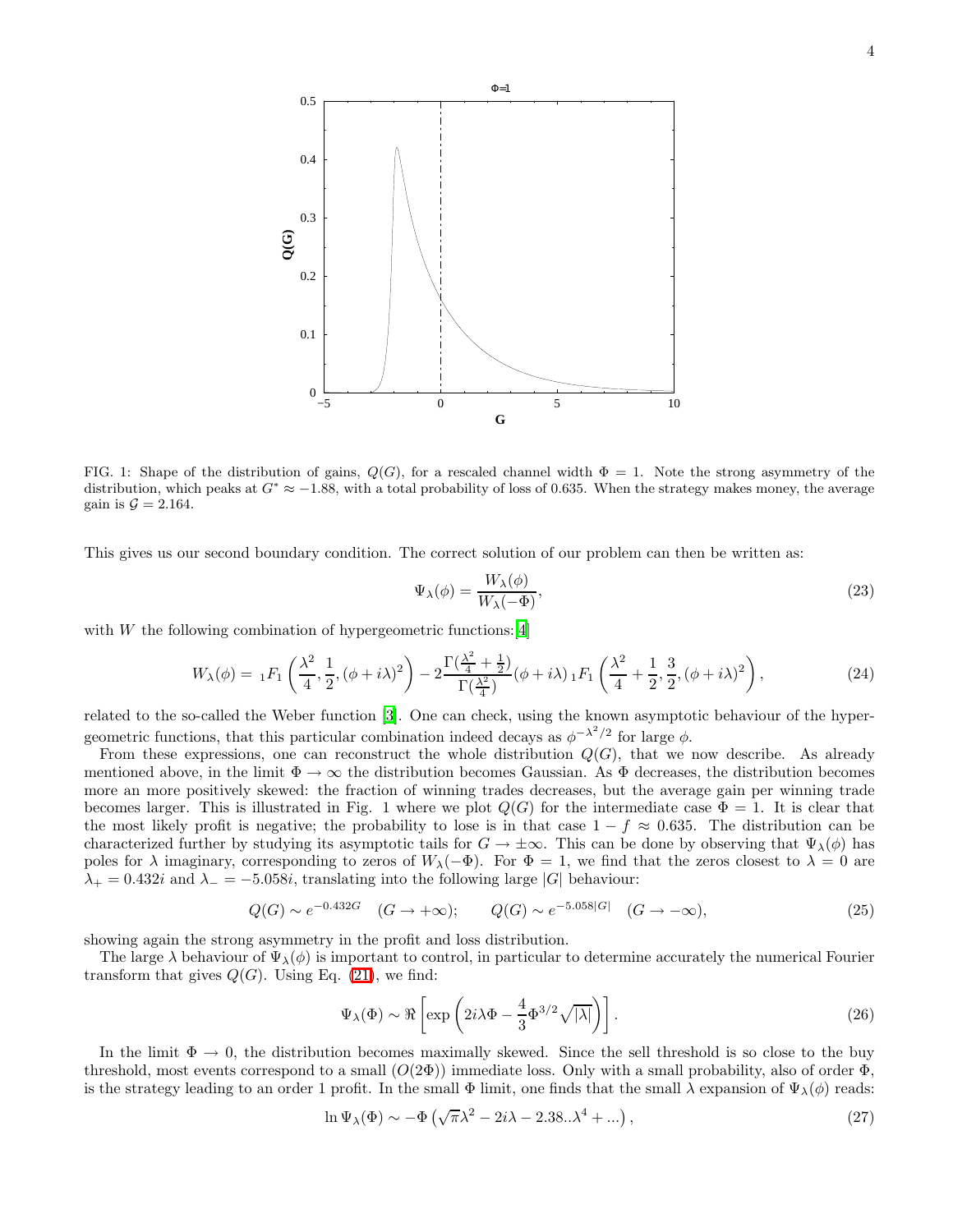

FIG. 1: Shape of the distribution of gains,  $Q(G)$ , for a rescaled channel width  $\Phi = 1$ . Note the strong asymmetry of the distribution, which peaks at  $G^* \approx -1.88$ , with a total probability of loss of 0.635. When the strategy makes money, the average gain is  $\mathcal{G} = 2.164$ .

This gives us our second boundary condition. The correct solution of our problem can then be written as:

$$
\Psi_{\lambda}(\phi) = \frac{W_{\lambda}(\phi)}{W_{\lambda}(-\Phi)},\tag{23}
$$

with  $W$  the following combination of hypergeometric functions: [\[4](#page-6-3)]

$$
W_{\lambda}(\phi) = {}_{1}F_{1}\left(\frac{\lambda^{2}}{4}, \frac{1}{2}, (\phi + i\lambda)^{2}\right) - 2\frac{\Gamma(\frac{\lambda^{2}}{4} + \frac{1}{2})}{\Gamma(\frac{\lambda^{2}}{4})}(\phi + i\lambda) {}_{1}F_{1}\left(\frac{\lambda^{2}}{4} + \frac{1}{2}, \frac{3}{2}, (\phi + i\lambda)^{2}\right),
$$
\n(24)

related to the so-called the Weber function [\[3](#page-6-2)]. One can check, using the known asymptotic behaviour of the hypergeometric functions, that this particular combination indeed decays as  $\phi^{-\lambda^2/2}$  for large  $\phi$ .

From these expressions, one can reconstruct the whole distribution  $Q(G)$ , that we now describe. As already mentioned above, in the limit  $\Phi \to \infty$  the distribution becomes Gaussian. As  $\Phi$  decreases, the distribution becomes more an more positively skewed: the fraction of winning trades decreases, but the average gain per winning trade becomes larger. This is illustrated in Fig. 1 where we plot  $Q(G)$  for the intermediate case  $\Phi = 1$ . It is clear that the most likely profit is negative; the probability to lose is in that case  $1 - f \approx 0.635$ . The distribution can be characterized further by studying its asymptotic tails for  $G \to \pm \infty$ . This can be done by observing that  $\Psi_{\lambda}(\phi)$  has poles for  $\lambda$  imaginary, corresponding to zeros of  $W_\lambda(-\Phi)$ . For  $\Phi = 1$ , we find that the zeros closest to  $\lambda = 0$  are  $\lambda_+ = 0.432i$  and  $\lambda_- = -5.058i$ , translating into the following large |G| behaviour:

$$
Q(G) \sim e^{-0.432G} \quad (G \to +\infty); \qquad Q(G) \sim e^{-5.058|G|} \quad (G \to -\infty), \tag{25}
$$

showing again the strong asymmetry in the profit and loss distribution.

The large  $\lambda$  behaviour of  $\Psi_{\lambda}(\phi)$  is important to control, in particular to determine accurately the numerical Fourier transform that gives  $Q(G)$ . Using Eq. [\(21\)](#page-2-1), we find:

$$
\Psi_{\lambda}(\Phi) \sim \Re \left[ \exp \left( 2i\lambda \Phi - \frac{4}{3} \Phi^{3/2} \sqrt{|\lambda|} \right) \right].
$$
 (26)

In the limit  $\Phi \to 0$ , the distribution becomes maximally skewed. Since the sell threshold is so close to the buy threshold, most events correspond to a small  $(O(2\Phi))$  immediate loss. Only with a small probability, also of order  $\Phi$ , is the strategy leading to an order 1 profit. In the small  $\Phi$  limit, one finds that the small  $\lambda$  expansion of  $\Psi_{\lambda}(\phi)$  reads:

$$
\ln \Psi_{\lambda}(\Phi) \sim -\Phi \left( \sqrt{\pi} \lambda^2 - 2i\lambda - 2.38..\lambda^4 + ... \right), \tag{27}
$$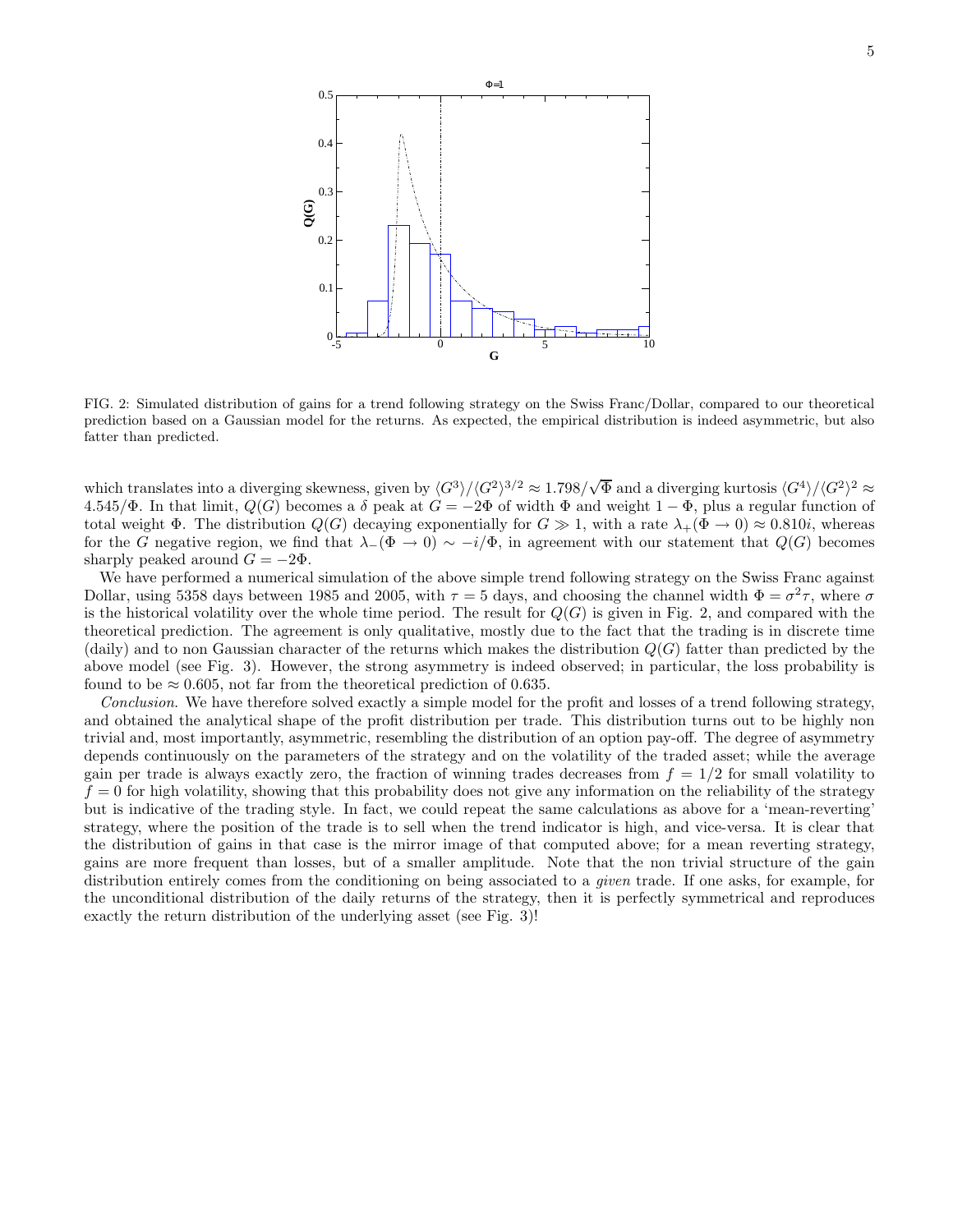

FIG. 2: Simulated distribution of gains for a trend following strategy on the Swiss Franc/Dollar, compared to our theoretical prediction based on a Gaussian model for the returns. As expected, the empirical distribution is indeed asymmetric, but also fatter than predicted.

which translates into a diverging skewness, given by  $\langle G^3 \rangle / \langle G^2 \rangle^{3/2} \approx 1.798 / \sqrt{\Phi}$  and a diverging kurtosis  $\langle G^4 \rangle / \langle G^2 \rangle^2 \approx$ 4.545/Φ. In that limit,  $Q(G)$  becomes a  $\delta$  peak at  $G = -2\Phi$  of width  $\Phi$  and weight  $1 - \Phi$ , plus a regular function of total weight  $\Phi$ . The distribution  $Q(G)$  decaying exponentially for  $G \gg 1$ , with a rate  $\lambda_+(\Phi \to 0) \approx 0.810i$ , whereas for the G negative region, we find that  $\lambda_-(\Phi \to 0) \sim -i/\Phi$ , in agreement with our statement that  $Q(G)$  becomes sharply peaked around  $G = -2\Phi$ .

We have performed a numerical simulation of the above simple trend following strategy on the Swiss Franc against Dollar, using 5358 days between 1985 and 2005, with  $\tau = 5$  days, and choosing the channel width  $\Phi = \sigma^2 \tau$ , where  $\sigma$ is the historical volatility over the whole time period. The result for  $Q(G)$  is given in Fig. 2, and compared with the theoretical prediction. The agreement is only qualitative, mostly due to the fact that the trading is in discrete time (daily) and to non Gaussian character of the returns which makes the distribution  $Q(G)$  fatter than predicted by the above model (see Fig. 3). However, the strong asymmetry is indeed observed; in particular, the loss probability is found to be  $\approx 0.605$ , not far from the theoretical prediction of 0.635.

Conclusion. We have therefore solved exactly a simple model for the profit and losses of a trend following strategy, and obtained the analytical shape of the profit distribution per trade. This distribution turns out to be highly non trivial and, most importantly, asymmetric, resembling the distribution of an option pay-off. The degree of asymmetry depends continuously on the parameters of the strategy and on the volatility of the traded asset; while the average gain per trade is always exactly zero, the fraction of winning trades decreases from  $f = 1/2$  for small volatility to  $f = 0$  for high volatility, showing that this probability does not give any information on the reliability of the strategy but is indicative of the trading style. In fact, we could repeat the same calculations as above for a 'mean-reverting' strategy, where the position of the trade is to sell when the trend indicator is high, and vice-versa. It is clear that the distribution of gains in that case is the mirror image of that computed above; for a mean reverting strategy, gains are more frequent than losses, but of a smaller amplitude. Note that the non trivial structure of the gain distribution entirely comes from the conditioning on being associated to a *given* trade. If one asks, for example, for the unconditional distribution of the daily returns of the strategy, then it is perfectly symmetrical and reproduces exactly the return distribution of the underlying asset (see Fig. 3)!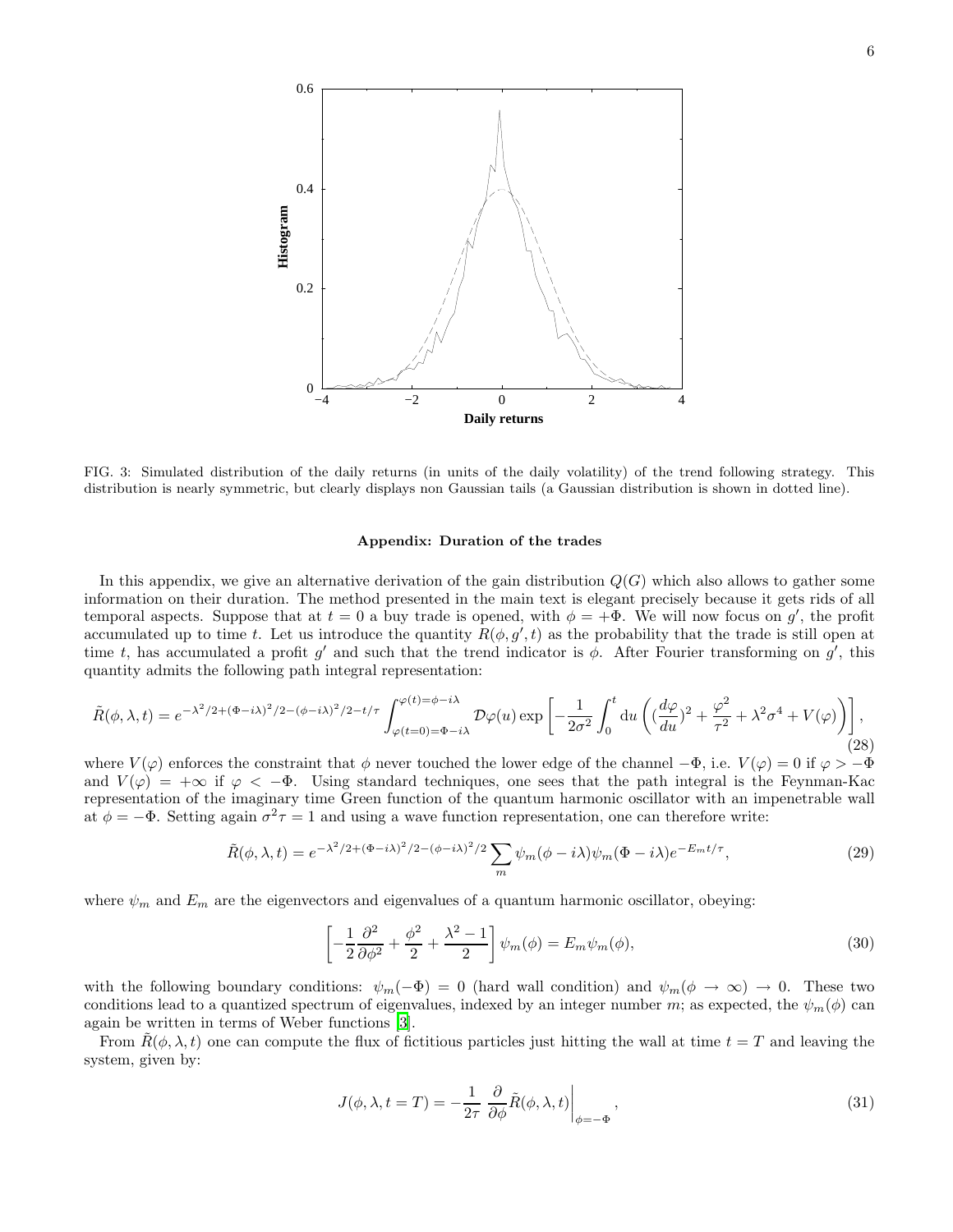

FIG. 3: Simulated distribution of the daily returns (in units of the daily volatility) of the trend following strategy. This distribution is nearly symmetric, but clearly displays non Gaussian tails (a Gaussian distribution is shown in dotted line).

## Appendix: Duration of the trades

In this appendix, we give an alternative derivation of the gain distribution  $Q(G)$  which also allows to gather some information on their duration. The method presented in the main text is elegant precisely because it gets rids of all temporal aspects. Suppose that at  $t = 0$  a buy trade is opened, with  $\phi = +\Phi$ . We will now focus on g', the profit accumulated up to time t. Let us introduce the quantity  $R(\phi, g', t)$  as the probability that the trade is still open at time t, has accumulated a profit  $g'$  and such that the trend indicator is  $\phi$ . After Fourier transforming on  $g'$ , this quantity admits the following path integral representation:

$$
\tilde{R}(\phi,\lambda,t) = e^{-\lambda^2/2 + (\Phi - i\lambda)^2/2 - (\phi - i\lambda)^2/2 - t/\tau} \int_{\varphi(t=0) = \Phi - i\lambda}^{\varphi(t) = \phi - i\lambda} \mathcal{D}\varphi(u) \exp\left[ -\frac{1}{2\sigma^2} \int_0^t \mathrm{d}u \left( \left( \frac{d\varphi}{du} \right)^2 + \frac{\varphi^2}{\tau^2} + \lambda^2 \sigma^4 + V(\varphi) \right) \right],
$$
\n(28)

where  $V(\varphi)$  enforces the constraint that  $\phi$  never touched the lower edge of the channel  $-\Phi$ , i.e.  $V(\varphi) = 0$  if  $\varphi > -\Phi$ and  $V(\varphi) = +\infty$  if  $\varphi < -\Phi$ . Using standard techniques, one sees that the path integral is the Feynman-Kac representation of the imaginary time Green function of the quantum harmonic oscillator with an impenetrable wall at  $\phi = -\Phi$ . Setting again  $\sigma^2 \tau = 1$  and using a wave function representation, one can therefore write:

$$
\tilde{R}(\phi,\lambda,t) = e^{-\lambda^2/2 + (\Phi - i\lambda)^2/2 - (\phi - i\lambda)^2/2} \sum_m \psi_m(\phi - i\lambda) \psi_m(\Phi - i\lambda) e^{-E_m t/\tau},\tag{29}
$$

where  $\psi_m$  and  $E_m$  are the eigenvectors and eigenvalues of a quantum harmonic oscillator, obeying:

$$
\left[-\frac{1}{2}\frac{\partial^2}{\partial\phi^2} + \frac{\phi^2}{2} + \frac{\lambda^2 - 1}{2}\right]\psi_m(\phi) = E_m\psi_m(\phi),\tag{30}
$$

with the following boundary conditions:  $\psi_m(-\Phi) = 0$  (hard wall condition) and  $\psi_m(\phi \to \infty) \to 0$ . These two conditions lead to a quantized spectrum of eigenvalues, indexed by an integer number m; as expected, the  $\psi_m(\phi)$  can again be written in terms of Weber functions [\[3\]](#page-6-2).

From  $R(\phi, \lambda, t)$  one can compute the flux of fictitious particles just hitting the wall at time  $t = T$  and leaving the system, given by:

$$
J(\phi, \lambda, t = T) = -\frac{1}{2\tau} \left. \frac{\partial}{\partial \phi} \tilde{R}(\phi, \lambda, t) \right|_{\phi = -\Phi}, \tag{31}
$$